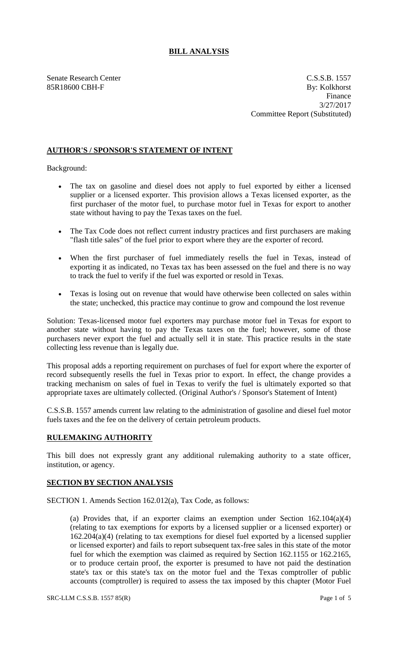## **BILL ANALYSIS**

Senate Research Center C.S.S.B. 1557 85R18600 CBH-F By: Kolkhorst Finance 3/27/2017 Committee Report (Substituted)

## **AUTHOR'S / SPONSOR'S STATEMENT OF INTENT**

Background:

- The tax on gasoline and diesel does not apply to fuel exported by either a licensed supplier or a licensed exporter. This provision allows a Texas licensed exporter, as the first purchaser of the motor fuel, to purchase motor fuel in Texas for export to another state without having to pay the Texas taxes on the fuel.
- The Tax Code does not reflect current industry practices and first purchasers are making "flash title sales" of the fuel prior to export where they are the exporter of record.
- When the first purchaser of fuel immediately resells the fuel in Texas, instead of exporting it as indicated, no Texas tax has been assessed on the fuel and there is no way to track the fuel to verify if the fuel was exported or resold in Texas.
- Texas is losing out on revenue that would have otherwise been collected on sales within the state; unchecked, this practice may continue to grow and compound the lost revenue

Solution: Texas-licensed motor fuel exporters may purchase motor fuel in Texas for export to another state without having to pay the Texas taxes on the fuel; however, some of those purchasers never export the fuel and actually sell it in state. This practice results in the state collecting less revenue than is legally due.

This proposal adds a reporting requirement on purchases of fuel for export where the exporter of record subsequently resells the fuel in Texas prior to export. In effect, the change provides a tracking mechanism on sales of fuel in Texas to verify the fuel is ultimately exported so that appropriate taxes are ultimately collected. (Original Author's / Sponsor's Statement of Intent)

C.S.S.B. 1557 amends current law relating to the administration of gasoline and diesel fuel motor fuels taxes and the fee on the delivery of certain petroleum products.

## **RULEMAKING AUTHORITY**

This bill does not expressly grant any additional rulemaking authority to a state officer, institution, or agency.

## **SECTION BY SECTION ANALYSIS**

SECTION 1. Amends Section 162.012(a), Tax Code, as follows:

(a) Provides that, if an exporter claims an exemption under Section 162.104(a)(4) (relating to tax exemptions for exports by a licensed supplier or a licensed exporter) or 162.204(a)(4) (relating to tax exemptions for diesel fuel exported by a licensed supplier or licensed exporter) and fails to report subsequent tax-free sales in this state of the motor fuel for which the exemption was claimed as required by Section 162.1155 or 162.2165, or to produce certain proof, the exporter is presumed to have not paid the destination state's tax or this state's tax on the motor fuel and the Texas comptroller of public accounts (comptroller) is required to assess the tax imposed by this chapter (Motor Fuel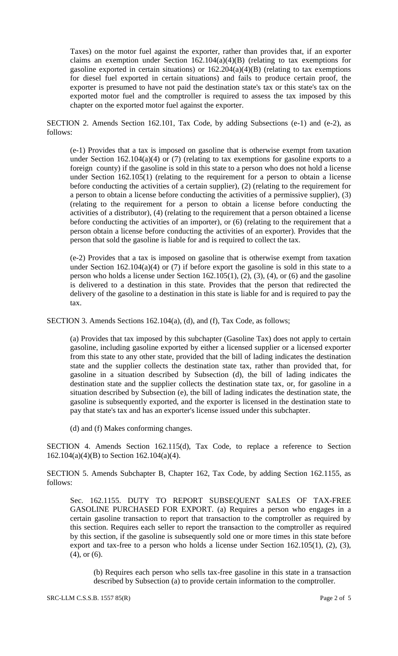Taxes) on the motor fuel against the exporter, rather than provides that, if an exporter claims an exemption under Section  $162.104(a)(4)(B)$  (relating to tax exemptions for gasoline exported in certain situations) or 162.204(a)(4)(B) (relating to tax exemptions for diesel fuel exported in certain situations) and fails to produce certain proof, the exporter is presumed to have not paid the destination state's tax or this state's tax on the exported motor fuel and the comptroller is required to assess the tax imposed by this chapter on the exported motor fuel against the exporter.

SECTION 2. Amends Section 162.101, Tax Code, by adding Subsections (e-1) and (e-2), as follows:

(e-1) Provides that a tax is imposed on gasoline that is otherwise exempt from taxation under Section 162.104(a)(4) or  $(7)$  (relating to tax exemptions for gasoline exports to a foreign county) if the gasoline is sold in this state to a person who does not hold a license under Section 162.105(1) (relating to the requirement for a person to obtain a license before conducting the activities of a certain supplier), (2) (relating to the requirement for a person to obtain a license before conducting the activities of a permissive supplier), (3) (relating to the requirement for a person to obtain a license before conducting the activities of a distributor), (4) (relating to the requirement that a person obtained a license before conducting the activities of an importer), or (6) (relating to the requirement that a person obtain a license before conducting the activities of an exporter). Provides that the person that sold the gasoline is liable for and is required to collect the tax.

(e-2) Provides that a tax is imposed on gasoline that is otherwise exempt from taxation under Section  $162.104(a)(4)$  or (7) if before export the gasoline is sold in this state to a person who holds a license under Section 162.105(1), (2), (3), (4), or (6) and the gasoline is delivered to a destination in this state. Provides that the person that redirected the delivery of the gasoline to a destination in this state is liable for and is required to pay the tax.

SECTION 3. Amends Sections 162.104(a), (d), and (f), Tax Code, as follows;

(a) Provides that tax imposed by this subchapter (Gasoline Tax) does not apply to certain gasoline, including gasoline exported by either a licensed supplier or a licensed exporter from this state to any other state, provided that the bill of lading indicates the destination state and the supplier collects the destination state tax, rather than provided that, for gasoline in a situation described by Subsection (d), the bill of lading indicates the destination state and the supplier collects the destination state tax, or, for gasoline in a situation described by Subsection (e), the bill of lading indicates the destination state, the gasoline is subsequently exported, and the exporter is licensed in the destination state to pay that state's tax and has an exporter's license issued under this subchapter.

(d) and (f) Makes conforming changes.

SECTION 4. Amends Section 162.115(d), Tax Code, to replace a reference to Section 162.104(a)(4)(B) to Section 162.104(a)(4).

SECTION 5. Amends Subchapter B, Chapter 162, Tax Code, by adding Section 162.1155, as follows:

Sec. 162.1155. DUTY TO REPORT SUBSEQUENT SALES OF TAX-FREE GASOLINE PURCHASED FOR EXPORT. (a) Requires a person who engages in a certain gasoline transaction to report that transaction to the comptroller as required by this section. Requires each seller to report the transaction to the comptroller as required by this section, if the gasoline is subsequently sold one or more times in this state before export and tax-free to a person who holds a license under Section 162.105(1), (2), (3), (4), or (6).

(b) Requires each person who sells tax-free gasoline in this state in a transaction described by Subsection (a) to provide certain information to the comptroller.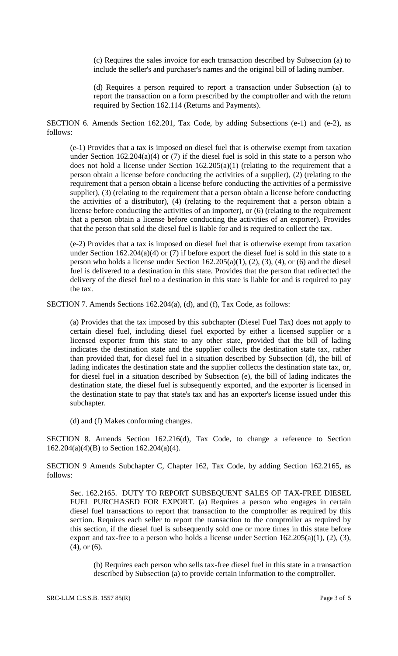(c) Requires the sales invoice for each transaction described by Subsection (a) to include the seller's and purchaser's names and the original bill of lading number.

(d) Requires a person required to report a transaction under Subsection (a) to report the transaction on a form prescribed by the comptroller and with the return required by Section 162.114 (Returns and Payments).

SECTION 6. Amends Section 162.201, Tax Code, by adding Subsections (e-1) and (e-2), as follows:

(e-1) Provides that a tax is imposed on diesel fuel that is otherwise exempt from taxation under Section  $162.204(a)(4)$  or (7) if the diesel fuel is sold in this state to a person who does not hold a license under Section  $162.205(a)(1)$  (relating to the requirement that a person obtain a license before conducting the activities of a supplier), (2) (relating to the requirement that a person obtain a license before conducting the activities of a permissive supplier), (3) (relating to the requirement that a person obtain a license before conducting the activities of a distributor), (4) (relating to the requirement that a person obtain a license before conducting the activities of an importer), or (6) (relating to the requirement that a person obtain a license before conducting the activities of an exporter). Provides that the person that sold the diesel fuel is liable for and is required to collect the tax.

(e-2) Provides that a tax is imposed on diesel fuel that is otherwise exempt from taxation under Section 162.204(a)(4) or (7) if before export the diesel fuel is sold in this state to a person who holds a license under Section  $162.205(a)(1)$ ,  $(2)$ ,  $(3)$ ,  $(4)$ , or  $(6)$  and the diesel fuel is delivered to a destination in this state. Provides that the person that redirected the delivery of the diesel fuel to a destination in this state is liable for and is required to pay the tax.

SECTION 7. Amends Sections 162.204(a), (d), and (f), Tax Code, as follows:

(a) Provides that the tax imposed by this subchapter (Diesel Fuel Tax) does not apply to certain diesel fuel, including diesel fuel exported by either a licensed supplier or a licensed exporter from this state to any other state, provided that the bill of lading indicates the destination state and the supplier collects the destination state tax, rather than provided that, for diesel fuel in a situation described by Subsection (d), the bill of lading indicates the destination state and the supplier collects the destination state tax, or, for diesel fuel in a situation described by Subsection (e), the bill of lading indicates the destination state, the diesel fuel is subsequently exported, and the exporter is licensed in the destination state to pay that state's tax and has an exporter's license issued under this subchapter.

(d) and (f) Makes conforming changes.

SECTION 8. Amends Section 162.216(d), Tax Code, to change a reference to Section 162.204(a)(4)(B) to Section 162.204(a)(4).

SECTION 9 Amends Subchapter C, Chapter 162, Tax Code, by adding Section 162.2165, as follows:

Sec. 162.2165. DUTY TO REPORT SUBSEQUENT SALES OF TAX-FREE DIESEL FUEL PURCHASED FOR EXPORT. (a) Requires a person who engages in certain diesel fuel transactions to report that transaction to the comptroller as required by this section. Requires each seller to report the transaction to the comptroller as required by this section, if the diesel fuel is subsequently sold one or more times in this state before export and tax-free to a person who holds a license under Section  $162.205(a)(1)$ ,  $(2)$ ,  $(3)$ , (4), or (6).

(b) Requires each person who sells tax-free diesel fuel in this state in a transaction described by Subsection (a) to provide certain information to the comptroller.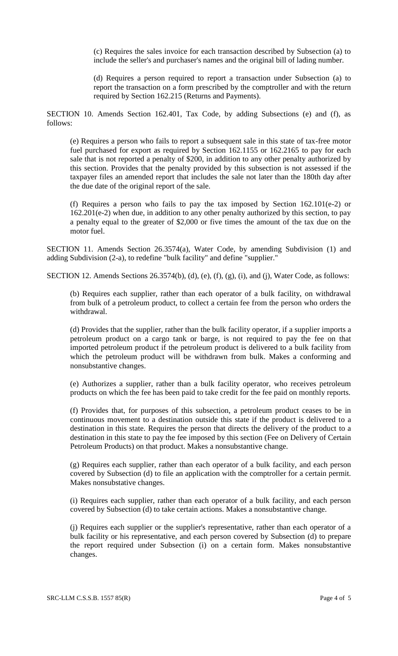(c) Requires the sales invoice for each transaction described by Subsection (a) to include the seller's and purchaser's names and the original bill of lading number.

(d) Requires a person required to report a transaction under Subsection (a) to report the transaction on a form prescribed by the comptroller and with the return required by Section 162.215 (Returns and Payments).

SECTION 10. Amends Section 162.401, Tax Code, by adding Subsections (e) and (f), as follows:

(e) Requires a person who fails to report a subsequent sale in this state of tax-free motor fuel purchased for export as required by Section 162.1155 or 162.2165 to pay for each sale that is not reported a penalty of \$200, in addition to any other penalty authorized by this section. Provides that the penalty provided by this subsection is not assessed if the taxpayer files an amended report that includes the sale not later than the 180th day after the due date of the original report of the sale.

(f) Requires a person who fails to pay the tax imposed by Section  $162.101(e-2)$  or 162.201(e-2) when due, in addition to any other penalty authorized by this section, to pay a penalty equal to the greater of \$2,000 or five times the amount of the tax due on the motor fuel.

SECTION 11. Amends Section 26.3574(a), Water Code, by amending Subdivision (1) and adding Subdivision (2-a), to redefine "bulk facility" and define "supplier."

SECTION 12. Amends Sections 26.3574(b), (d), (e), (f), (g), (i), and (j), Water Code, as follows:

(b) Requires each supplier, rather than each operator of a bulk facility, on withdrawal from bulk of a petroleum product, to collect a certain fee from the person who orders the withdrawal.

(d) Provides that the supplier, rather than the bulk facility operator, if a supplier imports a petroleum product on a cargo tank or barge, is not required to pay the fee on that imported petroleum product if the petroleum product is delivered to a bulk facility from which the petroleum product will be withdrawn from bulk. Makes a conforming and nonsubstantive changes.

(e) Authorizes a supplier, rather than a bulk facility operator, who receives petroleum products on which the fee has been paid to take credit for the fee paid on monthly reports.

(f) Provides that, for purposes of this subsection, a petroleum product ceases to be in continuous movement to a destination outside this state if the product is delivered to a destination in this state. Requires the person that directs the delivery of the product to a destination in this state to pay the fee imposed by this section (Fee on Delivery of Certain Petroleum Products) on that product. Makes a nonsubstantive change.

(g) Requires each supplier, rather than each operator of a bulk facility, and each person covered by Subsection (d) to file an application with the comptroller for a certain permit. Makes nonsubstative changes.

(i) Requires each supplier, rather than each operator of a bulk facility, and each person covered by Subsection (d) to take certain actions. Makes a nonsubstantive change.

(j) Requires each supplier or the supplier's representative, rather than each operator of a bulk facility or his representative, and each person covered by Subsection (d) to prepare the report required under Subsection (i) on a certain form. Makes nonsubstantive changes.